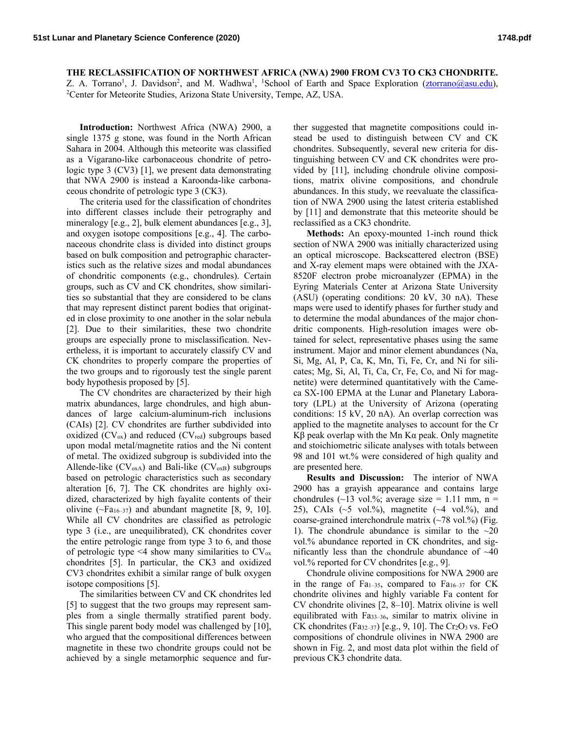## **THE RECLASSIFICATION OF NORTHWEST AFRICA (NWA) 2900 FROM CV3 TO CK3 CHONDRITE.**

Z. A. Torrano<sup>1</sup>, J. Davidson<sup>2</sup>, and M. Wadhwa<sup>1</sup>, <sup>1</sup>School of Earth and Space Exploration (*ztorrano@asu.edu*), 2 Center for Meteorite Studies, Arizona State University, Tempe, AZ, USA.

**Introduction:** Northwest Africa (NWA) 2900, a single 1375 g stone, was found in the North African Sahara in 2004. Although this meteorite was classified as a Vigarano-like carbonaceous chondrite of petrologic type 3 (CV3) [1], we present data demonstrating that NWA 2900 is instead a Karoonda-like carbonaceous chondrite of petrologic type 3 (CK3).

The criteria used for the classification of chondrites into different classes include their petrography and mineralogy [e.g., 2], bulk element abundances [e.g., 3], and oxygen isotope compositions [e.g., 4]. The carbonaceous chondrite class is divided into distinct groups based on bulk composition and petrographic characteristics such as the relative sizes and modal abundances of chondritic components (e.g., chondrules). Certain groups, such as CV and CK chondrites, show similarities so substantial that they are considered to be clans that may represent distinct parent bodies that originated in close proximity to one another in the solar nebula [2]. Due to their similarities, these two chondrite groups are especially prone to misclassification. Nevertheless, it is important to accurately classify CV and CK chondrites to properly compare the properties of the two groups and to rigorously test the single parent body hypothesis proposed by [5].

The CV chondrites are characterized by their high matrix abundances, large chondrules, and high abundances of large calcium-aluminum-rich inclusions (CAIs) [2]. CV chondrites are further subdivided into oxidized  $(CV_{ox})$  and reduced  $(CV_{red})$  subgroups based upon modal metal/magnetite ratios and the Ni content of metal. The oxidized subgroup is subdivided into the Allende-like  $(CV<sub>oxA</sub>)$  and Bali-like  $(CV<sub>oxB</sub>)$  subgroups based on petrologic characteristics such as secondary alteration [6, 7]. The CK chondrites are highly oxidized, characterized by high fayalite contents of their olivine  $(\neg Fa_{16-37})$  and abundant magnetite [8, 9, 10]. While all CV chondrites are classified as petrologic type 3 (i.e., are unequilibrated), CK chondrites cover the entire petrologic range from type 3 to 6, and those of petrologic type  $\leq 4$  show many similarities to  $CV_{\text{ox}}$ chondrites [5]. In particular, the CK3 and oxidized CV3 chondrites exhibit a similar range of bulk oxygen isotope compositions [5].

The similarities between CV and CK chondrites led [5] to suggest that the two groups may represent samples from a single thermally stratified parent body. This single parent body model was challenged by [10], who argued that the compositional differences between magnetite in these two chondrite groups could not be achieved by a single metamorphic sequence and further suggested that magnetite compositions could instead be used to distinguish between CV and CK chondrites. Subsequently, several new criteria for distinguishing between CV and CK chondrites were provided by [11], including chondrule olivine compositions, matrix olivine compositions, and chondrule abundances. In this study, we reevaluate the classification of NWA 2900 using the latest criteria established by [11] and demonstrate that this meteorite should be reclassified as a CK3 chondrite.

**Methods:** An epoxy-mounted 1-inch round thick section of NWA 2900 was initially characterized using an optical microscope. Backscattered electron (BSE) and X-ray element maps were obtained with the JXA-8520F electron probe microanalyzer (EPMA) in the Eyring Materials Center at Arizona State University (ASU) (operating conditions: 20 kV, 30 nA). These maps were used to identify phases for further study and to determine the modal abundances of the major chondritic components. High-resolution images were obtained for select, representative phases using the same instrument. Major and minor element abundances (Na, Si, Mg, Al, P, Ca, K, Mn, Ti, Fe, Cr, and Ni for silicates; Mg, Si, Al, Ti, Ca, Cr, Fe, Co, and Ni for magnetite) were determined quantitatively with the Cameca SX-100 EPMA at the Lunar and Planetary Laboratory (LPL) at the University of Arizona (operating conditions: 15 kV, 20 nA). An overlap correction was applied to the magnetite analyses to account for the Cr Kβ peak overlap with the Mn Kα peak. Only magnetite and stoichiometric silicate analyses with totals between 98 and 101 wt.% were considered of high quality and are presented here.

**Results and Discussion:** The interior of NWA 2900 has a grayish appearance and contains large chondrules  $(\sim 13 \text{ vol.}\%;$  average size = 1.11 mm, n = 25), CAIs  $({\sim}5 \text{ vol.}\%)$ , magnetite  $({\sim}4 \text{ vol.}\%)$ , and coarse-grained interchondrule matrix  $(\sim 78 \text{ vol.}\%)$  (Fig. 1). The chondrule abundance is similar to the  $\sim 20$ vol.% abundance reported in CK chondrites, and significantly less than the chondrule abundance of  $~140$ vol.% reported for CV chondrites [e.g., 9].

Chondrule olivine compositions for NWA 2900 are in the range of Fa<sub>1–35</sub>, compared to Fa<sub>16–37</sub> for CK chondrite olivines and highly variable Fa content for CV chondrite olivines [2, 8–10]. Matrix olivine is well equilibrated with Fa33–36, similar to matrix olivine in CK chondrites (Fa<sub>32–37</sub>) [e.g., 9, 10]. The Cr<sub>2</sub>O<sub>3</sub> vs. FeO compositions of chondrule olivines in NWA 2900 are shown in Fig. 2, and most data plot within the field of previous CK3 chondrite data.